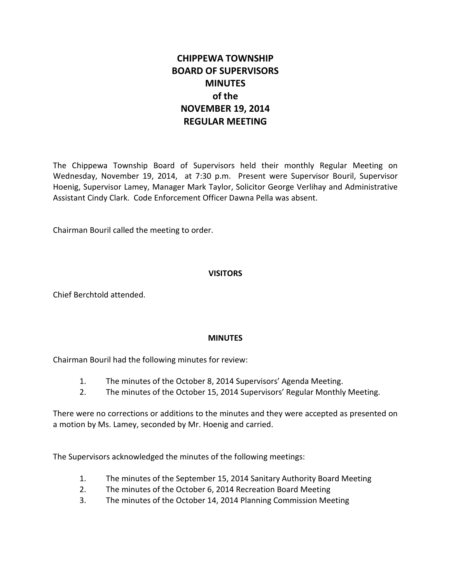# **CHIPPEWA TOWNSHIP BOARD OF SUPERVISORS MINUTES of the NOVEMBER 19, 2014 REGULAR MEETING**

The Chippewa Township Board of Supervisors held their monthly Regular Meeting on Wednesday, November 19, 2014, at 7:30 p.m. Present were Supervisor Bouril, Supervisor Hoenig, Supervisor Lamey, Manager Mark Taylor, Solicitor George Verlihay and Administrative Assistant Cindy Clark. Code Enforcement Officer Dawna Pella was absent.

Chairman Bouril called the meeting to order.

# **VISITORS**

Chief Berchtold attended.

## **MINUTES**

Chairman Bouril had the following minutes for review:

- 1. The minutes of the October 8, 2014 Supervisors' Agenda Meeting.
- 2. The minutes of the October 15, 2014 Supervisors' Regular Monthly Meeting.

There were no corrections or additions to the minutes and they were accepted as presented on a motion by Ms. Lamey, seconded by Mr. Hoenig and carried.

The Supervisors acknowledged the minutes of the following meetings:

- 1. The minutes of the September 15, 2014 Sanitary Authority Board Meeting
- 2. The minutes of the October 6, 2014 Recreation Board Meeting
- 3. The minutes of the October 14, 2014 Planning Commission Meeting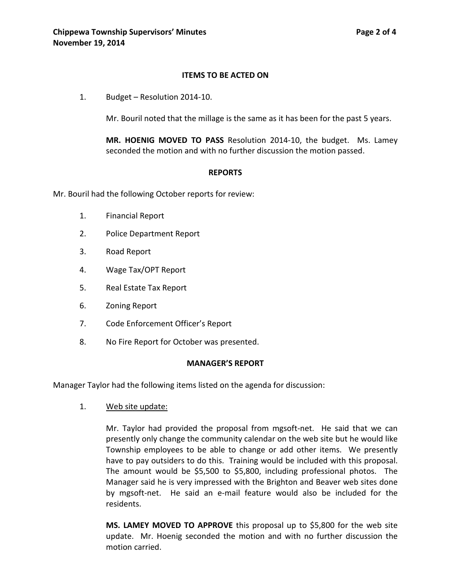#### **ITEMS TO BE ACTED ON**

1. Budget – Resolution 2014-10.

Mr. Bouril noted that the millage is the same as it has been for the past 5 years.

**MR. HOENIG MOVED TO PASS** Resolution 2014-10, the budget. Ms. Lamey seconded the motion and with no further discussion the motion passed.

#### **REPORTS**

Mr. Bouril had the following October reports for review:

- 1. Financial Report
- 2. Police Department Report
- 3. Road Report
- 4. Wage Tax/OPT Report
- 5. Real Estate Tax Report
- 6. Zoning Report
- 7. Code Enforcement Officer's Report
- 8. No Fire Report for October was presented.

#### **MANAGER'S REPORT**

Manager Taylor had the following items listed on the agenda for discussion:

1. Web site update:

Mr. Taylor had provided the proposal from mgsoft-net. He said that we can presently only change the community calendar on the web site but he would like Township employees to be able to change or add other items. We presently have to pay outsiders to do this. Training would be included with this proposal. The amount would be \$5,500 to \$5,800, including professional photos. The Manager said he is very impressed with the Brighton and Beaver web sites done by mgsoft-net. He said an e-mail feature would also be included for the residents.

**MS. LAMEY MOVED TO APPROVE** this proposal up to \$5,800 for the web site update. Mr. Hoenig seconded the motion and with no further discussion the motion carried.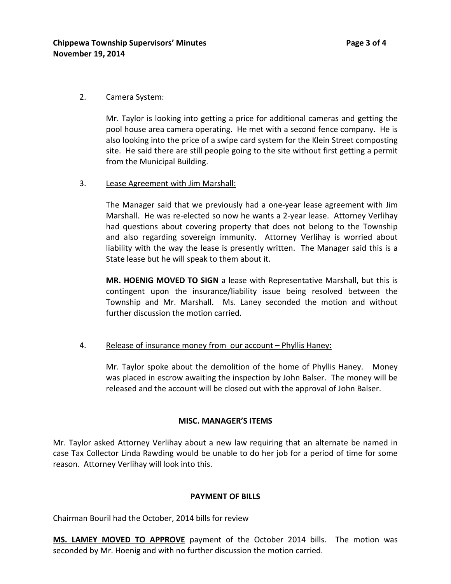# 2. Camera System:

Mr. Taylor is looking into getting a price for additional cameras and getting the pool house area camera operating. He met with a second fence company. He is also looking into the price of a swipe card system for the Klein Street composting site. He said there are still people going to the site without first getting a permit from the Municipal Building.

## 3. Lease Agreement with Jim Marshall:

The Manager said that we previously had a one-year lease agreement with Jim Marshall. He was re-elected so now he wants a 2-year lease. Attorney Verlihay had questions about covering property that does not belong to the Township and also regarding sovereign immunity. Attorney Verlihay is worried about liability with the way the lease is presently written. The Manager said this is a State lease but he will speak to them about it.

**MR. HOENIG MOVED TO SIGN** a lease with Representative Marshall, but this is contingent upon the insurance/liability issue being resolved between the Township and Mr. Marshall. Ms. Laney seconded the motion and without further discussion the motion carried.

## 4. Release of insurance money from our account – Phyllis Haney:

Mr. Taylor spoke about the demolition of the home of Phyllis Haney. Money was placed in escrow awaiting the inspection by John Balser. The money will be released and the account will be closed out with the approval of John Balser.

#### **MISC. MANAGER'S ITEMS**

Mr. Taylor asked Attorney Verlihay about a new law requiring that an alternate be named in case Tax Collector Linda Rawding would be unable to do her job for a period of time for some reason. Attorney Verlihay will look into this.

## **PAYMENT OF BILLS**

Chairman Bouril had the October, 2014 bills for review

**MS. LAMEY MOVED TO APPROVE** payment of the October 2014 bills. The motion was seconded by Mr. Hoenig and with no further discussion the motion carried.